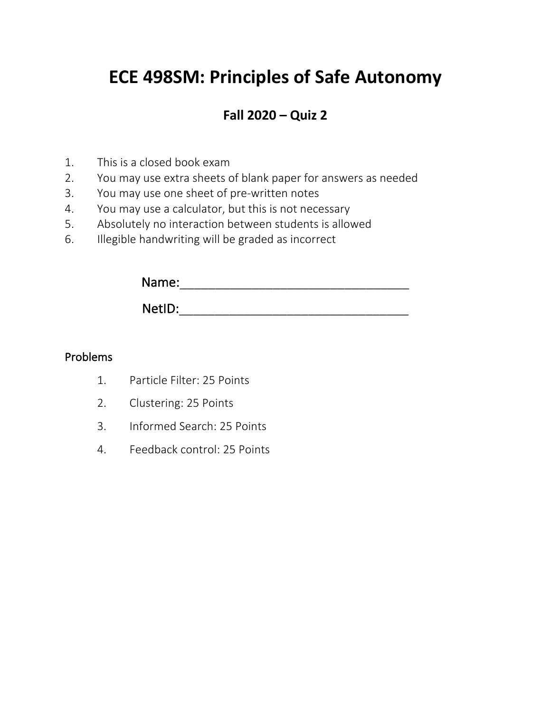# **ECE 498SM: Principles of Safe Autonomy**

# **Fall 2020 – Quiz 2**

- 1. This is a closed book exam
- 2. You may use extra sheets of blank paper for answers as needed
- 3. You may use one sheet of pre-written notes
- 4. You may use a calculator, but this is not necessary
- 5. Absolutely no interaction between students is allowed
- 6. Illegible handwriting will be graded as incorrect

| Name:  |  |  |  |
|--------|--|--|--|
| NetID: |  |  |  |

## Problems

- 1. Particle Filter: 25 Points
- 2. Clustering: 25 Points
- 3. Informed Search: 25 Points
- 4. Feedback control: 25 Points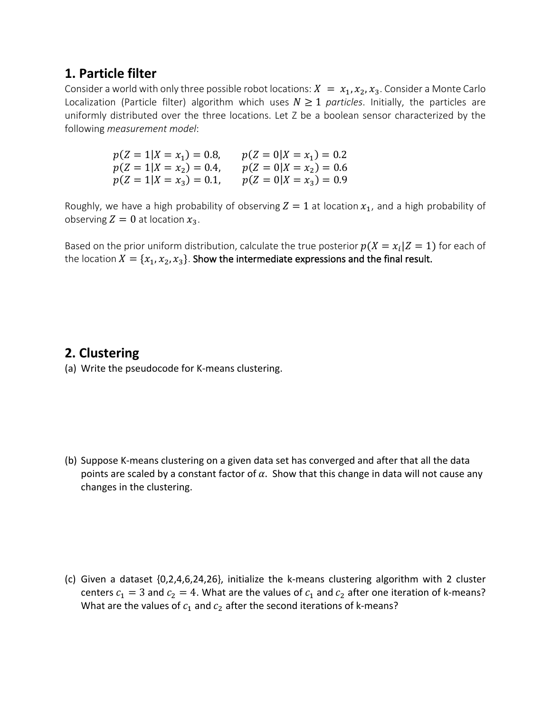## **1. Particle filter**

Consider a world with only three possible robot locations:  $X = x_1, x_2, x_3$ . Consider a Monte Carlo Localization (Particle filter) algorithm which uses  $N \geq 1$  *particles*. Initially, the particles are uniformly distributed over the three locations. Let Z be a boolean sensor characterized by the following *measurement model*:

> $p(Z = 1 | X = x_1) = 0.8, \quad p(Z = 0 | X = x_1) = 0.2$  $p(Z = 1 | X = x_2) = 0.4, \qquad p(Z = 0 | X = x_2) = 0.6$  $p(Z = 1 | X = x_3) = 0.1, \quad p(Z = 0 | X = x_3) = 0.9$

Roughly, we have a high probability of observing  $Z = 1$  at location  $x_1$ , and a high probability of observing  $Z = 0$  at location  $x_3$ .

Based on the prior uniform distribution, calculate the true posterior  $p(X = x_i | Z = 1)$  for each of the location  $X = \{x_1, x_2, x_3\}$ . Show the intermediate expressions and the final result.

### **2. Clustering**

(a) Write the pseudocode for K-means clustering.

(b) Suppose K-means clustering on a given data set has converged and after that all the data points are scaled by a constant factor of  $\alpha$ . Show that this change in data will not cause any changes in the clustering.

(c) Given a dataset {0,2,4,6,24,26}, initialize the k-means clustering algorithm with 2 cluster centers  $c_1 = 3$  and  $c_2 = 4$ . What are the values of  $c_1$  and  $c_2$  after one iteration of k-means? What are the values of  $c_1$  and  $c_2$  after the second iterations of k-means?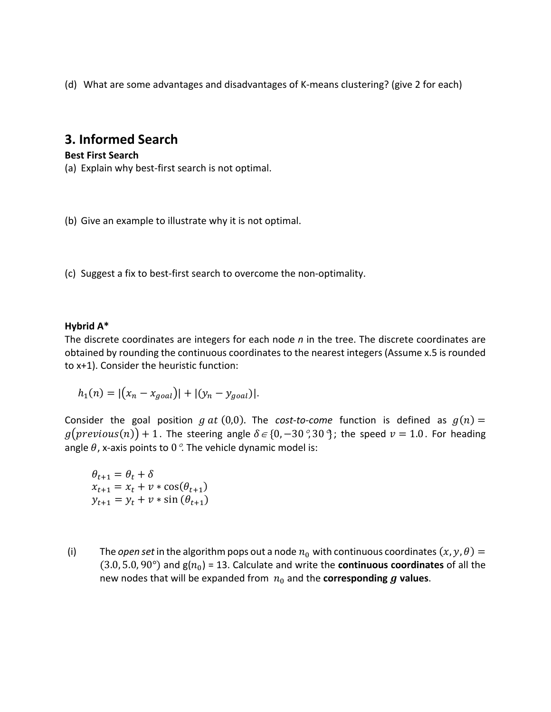(d) What are some advantages and disadvantages of K-means clustering? (give 2 for each)

# **3. Informed Search**

#### **Best First Search**

(a) Explain why best-first search is not optimal.

(b) Give an example to illustrate why it is not optimal.

(c) Suggest a fix to best-first search to overcome the non-optimality.

#### **Hybrid A\***

The discrete coordinates are integers for each node *n* in the tree. The discrete coordinates are obtained by rounding the continuous coordinates to the nearest integers (Assume x.5 is rounded to x+1). Consider the heuristic function:

$$
h_1(n) = |(x_n - x_{goal})| + |(y_n - y_{goal})|.
$$

Consider the goal position  $g$  at (0,0). The *cost-to-come* function is defined as  $g(n)$  =  $g(\text{previous}(n)) + 1$ . The steering angle  $\delta \in \{0, -30\degree, 30\degree\}$ ; the speed  $v = 1.0$ . For heading angle  $\theta$ , x-axis points to 0 $\degree$ . The vehicle dynamic model is:

 $\theta_{t+1} = \theta_t + \delta$  $x_{t+1} = x_t + v * \cos(\theta_{t+1})$  $y_{t+1} = y_t + v * \sin(\theta_{t+1})$ 

(i) The *open set* in the algorithm pops out a node  $n_0$  with continuous coordinates  $(x, y, \theta) =$  $(3.0, 5.0, 90^{\circ})$  and  $g(n_0)$  = 13. Calculate and write the **continuous coordinates** of all the new nodes that will be expanded from  $n_0$  and the **corresponding**  $q$  **values**.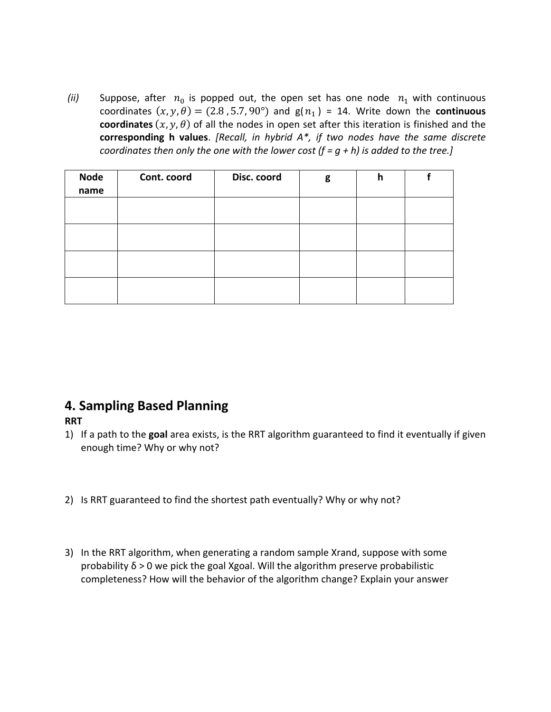*(ii)* Suppose, after  $n_0$  is popped out, the open set has one node  $n_1$  with continuous coordinates  $(x, y, \theta) = (2.8, 5.7, 90^{\circ})$  and  $g(n_1) = 14$ . Write down the **continuous coordinates**  $(x, y, \theta)$  of all the nodes in open set after this iteration is finished and the **corresponding h values**. *[Recall, in hybrid A\*, if two nodes have the same discrete coordinates then only the one with the lower cost (f = g + h) is added to the tree.]*

| <b>Node</b><br>name | Cont. coord | Disc. coord | g | h |  |
|---------------------|-------------|-------------|---|---|--|
|                     |             |             |   |   |  |
|                     |             |             |   |   |  |
|                     |             |             |   |   |  |
|                     |             |             |   |   |  |

# **4. Sampling Based Planning**

### **RRT**

- 1) If a path to the **goal** area exists, is the RRT algorithm guaranteed to find it eventually if given enough time? Why or why not?
- 2) Is RRT guaranteed to find the shortest path eventually? Why or why not?
- 3) In the RRT algorithm, when generating a random sample Xrand, suppose with some probability δ > 0 we pick the goal Xgoal. Will the algorithm preserve probabilistic completeness? How will the behavior of the algorithm change? Explain your answer